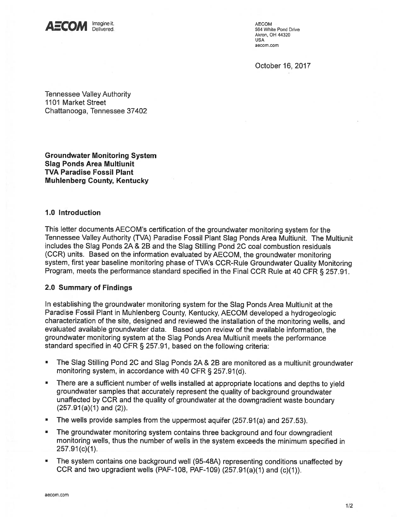

**AECOM** 564 White Pond Drive Akron, OH 44320 **USA** aecom.com

October 16, 2017

**Tennessee Valley Authority** 1101 Market Street Chattanooga, Tennessee 37402

**Groundwater Monitoring System Slag Ponds Area Multiunit TVA Paradise Fossil Plant Muhlenberg County, Kentucky** 

## 1.0 Introduction

This letter documents AECOM's certification of the groundwater monitoring system for the Tennessee Valley Authority (TVA) Paradise Fossil Plant Slag Ponds Area Multiunit. The Multiunit includes the Slag Ponds 2A & 2B and the Slag Stilling Pond 2C coal combustion residuals (CCR) units. Based on the information evaluated by AECOM, the groundwater monitoring system, first year baseline monitoring phase of TVA's CCR-Rule Groundwater Quality Monitoring Program, meets the performance standard specified in the Final CCR Rule at 40 CFR § 257.91.

## 2.0 Summary of Findings

In establishing the groundwater monitoring system for the Slag Ponds Area Multiunit at the Paradise Fossil Plant in Muhlenberg County, Kentucky, AECOM developed a hydrogeologic characterization of the site, designed and reviewed the installation of the monitoring wells, and evaluated available groundwater data. Based upon review of the available information, the groundwater monitoring system at the Slag Ponds Area Multiunit meets the performance standard specified in 40 CFR § 257.91, based on the following criteria:

- The Slag Stilling Pond 2C and Slag Ponds 2A & 2B are monitored as a multiunit groundwater  $\blacksquare$ monitoring system, in accordance with 40 CFR § 257.91(d).
- $\blacksquare$ There are a sufficient number of wells installed at appropriate locations and depths to yield groundwater samples that accurately represent the quality of background groundwater unaffected by CCR and the quality of groundwater at the downgradient waste boundary  $(257.91(a)(1)$  and  $(2))$ .
- The wells provide samples from the uppermost aquifer (257.91(a) and 257.53).  $\blacksquare$
- The groundwater monitoring system contains three background and four downgradient monitoring wells, thus the number of wells in the system exceeds the minimum specified in  $257.91(c)(1)$ .
- The system contains one background well (95-48A) representing conditions unaffected by CCR and two upgradient wells (PAF-108, PAF-109)  $(257.91(a)(1)$  and  $(c)(1))$ .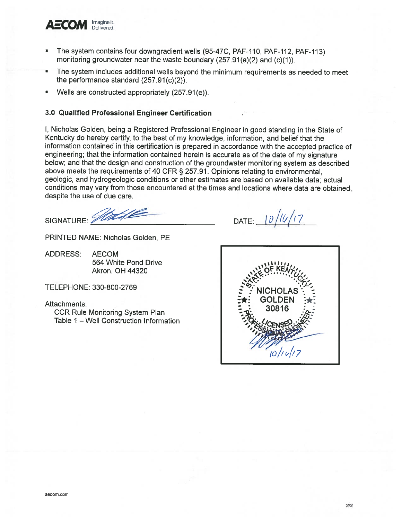

- $\blacksquare$ The system contains four downgradient wells (95-47C, PAF-110, PAF-112, PAF-113) monitoring groundwater near the waste boundary (257.91(a)(2) and (c)(1)).
- The system includes additional wells beyond the minimum requirements as needed to meet the performance standard  $(257.91(c)(2))$ .
- Wells are constructed appropriately (257.91(e)).

## 3.0 Qualified Professional Engineer Certification

I, Nicholas Golden, being a Registered Professional Engineer in good standing in the State of Kentucky do hereby certify, to the best of my knowledge, information, and belief that the information contained in this certification is prepared in accordance with the accepted practice of engineering; that the information contained herein is accurate as of the date of my signature below; and that the design and construction of the groundwater monitoring system as described above meets the requirements of 40 CFR § 257.91. Opinions relating to environmental. geologic, and hydrogeologic conditions or other estimates are based on available data; actual conditions may vary from those encountered at the times and locations where data are obtained. despite the use of due care.

SIGNATURE: Watch

PRINTED NAME: Nicholas Golden, PE

**ADDRESS: AECOM** 564 White Pond Drive Akron, OH 44320

TELEPHONE: 330-800-2769

Attachments:

**CCR Rule Monitoring System Plan** Table 1 – Well Construction Information

DATE:  $10/10/17$ 

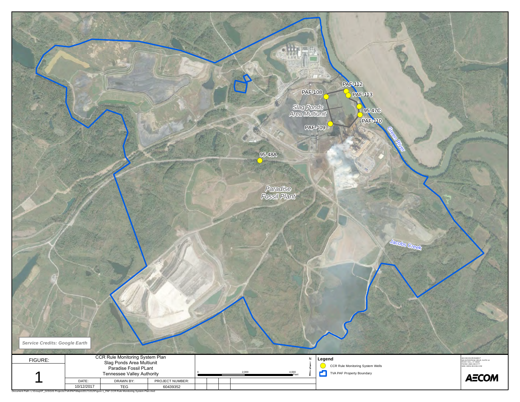